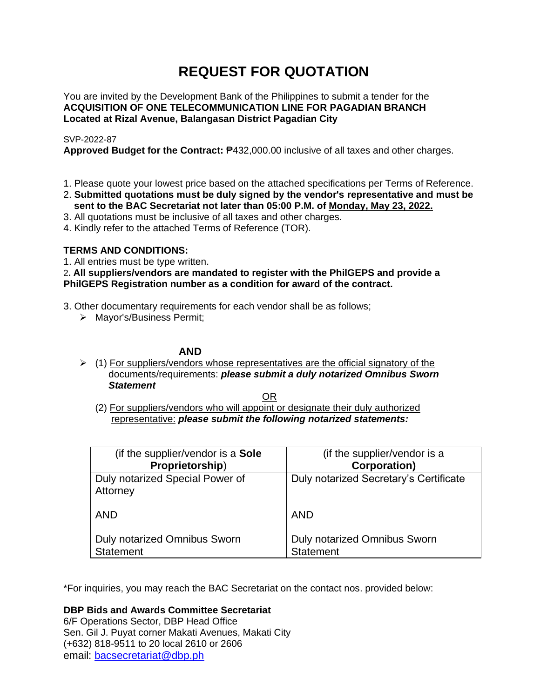# **REQUEST FOR QUOTATION**

You are invited by the Development Bank of the Philippines to submit a tender for the **ACQUISITION OF ONE TELECOMMUNICATION LINE FOR PAGADIAN BRANCH Located at Rizal Avenue, Balangasan District Pagadian City**

# SVP-2022-87

**Approved Budget for the Contract:** ₱432,000.00 inclusive of all taxes and other charges.

- 1. Please quote your lowest price based on the attached specifications per Terms of Reference.
- 2. **Submitted quotations must be duly signed by the vendor's representative and must be sent to the BAC Secretariat not later than 05:00 P.M. of Monday, May 23, 2022.**
- 3. All quotations must be inclusive of all taxes and other charges.
- 4. Kindly refer to the attached Terms of Reference (TOR).

# **TERMS AND CONDITIONS:**

1. All entries must be type written.

2**. All suppliers/vendors are mandated to register with the PhilGEPS and provide a PhilGEPS Registration number as a condition for award of the contract.**

- 3. Other documentary requirements for each vendor shall be as follows;
	- ➢ Mayor's/Business Permit;

# **AND**

 $\geq$  (1) For suppliers/vendors whose representatives are the official signatory of the documents/requirements: *please submit a duly notarized Omnibus Sworn Statement*

<u>OR Starting and the Starting OR Starting</u>

(2) For suppliers/vendors who will appoint or designate their duly authorized representative: *please submit the following notarized statements:*

| (if the supplier/vendor is a Sole                       | (if the supplier/vendor is a                     |
|---------------------------------------------------------|--------------------------------------------------|
| Proprietorship)                                         | <b>Corporation</b> )                             |
| Duly notarized Special Power of<br>Attorney             | Duly notarized Secretary's Certificate           |
| <b>AND</b>                                              | <b>AND</b>                                       |
| <b>Duly notarized Omnibus Sworn</b><br><b>Statement</b> | Duly notarized Omnibus Sworn<br><b>Statement</b> |

\*For inquiries, you may reach the BAC Secretariat on the contact nos. provided below:

**DBP Bids and Awards Committee Secretariat**  6/F Operations Sector, DBP Head Office

Sen. Gil J. Puyat corner Makati Avenues, Makati City (+632) 818-9511 to 20 local 2610 or 2606 email: [bacsecretariat@dbp.ph](mailto:bacsecretariat@dbp.ph)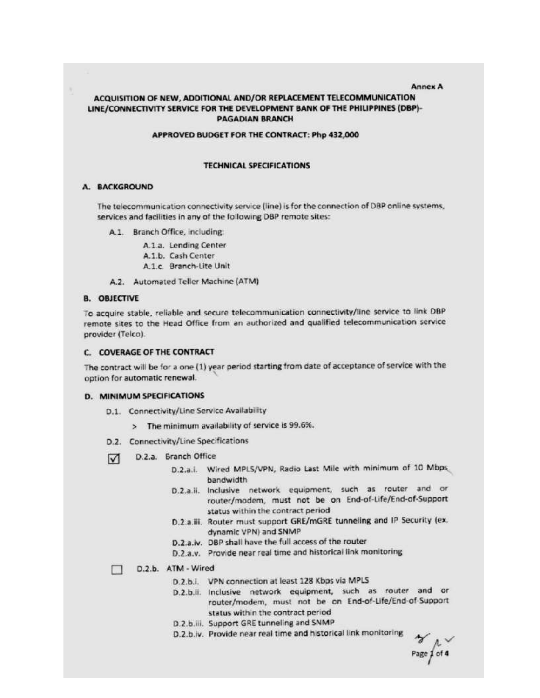#### **Annex A**

## ACQUISITION OF NEW, ADDITIONAL AND/OR REPLACEMENT TELECOMMUNICATION LINE/CONNECTIVITY SERVICE FOR THE DEVELOPMENT BANK OF THE PHILIPPINES (DBP)-**PAGADIAN BRANCH**

#### APPROVED BUDGET FOR THE CONTRACT: Php 432,000

#### **TECHNICAL SPECIFICATIONS**

#### A. BACKGROUND

The telecommunication connectivity service (line) is for the connection of DBP online systems, services and facilities in any of the following DBP remote sites:

- A.1. Branch Office, including:
	- A.1.a. Lending Center
	- A.1.b. Cash Center
	- A.1.c. Branch-Lite Unit
- A.2. Automated Teller Machine (ATM)

#### **B. OBJECTIVE**

To acquire stable, reliable and secure telecommunication connectivity/line service to link DBP remote sites to the Head Office from an authorized and qualified telecommunication service provider (Telco).

#### C. COVERAGE OF THE CONTRACT

The contract will be for a one (1) year period starting from date of acceptance of service with the option for automatic renewal.

### **D. MINIMUM SPECIFICATIONS**

- D.1. Connectivity/Line Service Availability
	- > The minimum availability of service is 99.6%.
- D.2. Connectivity/Line Specifications
- D.2.a. Branch Office ☑
	- D.2.a.i. Wired MPLS/VPN, Radio Last Mile with minimum of 10 Mbps bandwidth
	- D.2.a.ii. Inclusive network equipment, such as router and or router/modem, must not be on End-of-Life/End-of-Support status within the contract period
	- D.2.a.iii. Router must support GRE/mGRE tunneling and IP Security (ex. dynamic VPN) and SNMP
	- D.2.a.iv. DBP shall have the full access of the router
	- D.2.a.v. Provide near real time and historical link monitoring

#### D.2.b. ATM - Wired  $\mathbf{r}$

- D.2.b.i. VPN connection at least 128 Kbps via MPLS
- D.2.b.ii. Inclusive network equipment, such as router and or router/modem, must not be on End-of-Life/End-of-Support status within the contract period
- D.2.b.iii. Support GRE tunneling and SNMP
- D.2.b.iv. Provide near real time and historical link monitoring

 $Page\int_0^{\infty}$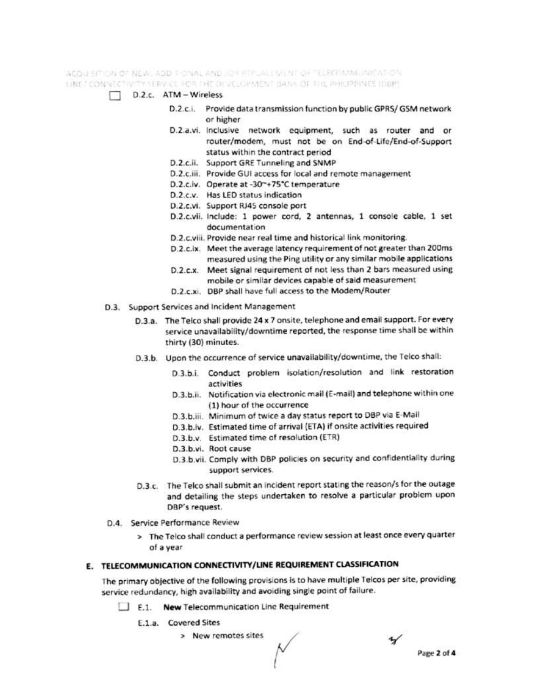ACQUISITION OF NEW, AOD THONAL AND JOY REPLACEMENT OF TELROIMMUNICATION. LINE FON VECTIVITY SERVICE FOR THE OFVELOPMENT BANK OF THE PHILIPPINTS (BUP).

- D.2.c. ATM Wireless
	- D.2.c.i. Provide data transmission function by public GPRS/GSM network or higher
	- D.2.a.vi. inclusive network equipment, such as router and or router/modem, must not be on End-of-Life/End-of-Support status within the contract period
	- D.2.c.ii. Support GRE Tunneling and SNMP
	- D.2.c.iii. Provide GUI access for local and remote management
	- D.2.c.iv. Operate at -30~+75°C temperature
	- D.2.c.v. Has LED status indication
	- D.2.c.vi. Support RJ45 console port
	- D.2.c.vii. Include: 1 power cord, 2 antennas, 1 console cable, 1 set documentation
	- D.2.c.viii. Provide near real time and historical link monitoring.
	- D.2.c.ix. Meet the average latency requirement of not greater than 200ms measured using the Ping utility or any similar mobile applications
	- D.2.c.x. Meet signal requirement of not less than 2 bars measured using mobile or similar devices capable of said measurement
	- D.2.c.xi. DBP shall have full access to the Modem/Router
- D.3. Support Services and Incident Management
	- D.3.a. The Telco shall provide 24 x 7 onsite, telephone and email support. For every service unavailability/downtime reported, the response time shall be within thirty (30) minutes.
	- D.3.b. Upon the occurrence of service unavailability/downtime, the Telco shall:
		- D.3.b.i. Conduct problem isolation/resolution and link restoration activities
		- D.3.b.ii. Notification via electronic mail (E-mail) and telephone within one (1) hour of the occurrence
		- D.3.b.iii. Minimum of twice a day status report to DBP via E-Mail
		- D.3.b.lv. Estimated time of arrival (ETA) if onsite activities required
		- D.3.b.v. Estimated time of resolution (ETR)
		- D.3.b.vi. Root cause
		- D.3.b.vii. Comply with DBP policies on security and confidentiality during support services.
	- D.3.c. The Telco shall submit an incident report stating the reason/s for the outage and detailing the steps undertaken to resolve a particular problem upon DBP's request.
- D.4. Service Performance Review
	- > The Telco shall conduct a performance review session at least once every quarter of a year

# E. TELECOMMUNICATION CONNECTIVITY/LINE REQUIREMENT CLASSIFICATION

The primary objective of the following provisions is to have multiple Telcos per site, providing service redundancy, high availability and avoiding single point of failure.

- E.1. New Telecommunication Line Requirement
	- E.1.a. Covered Sites
		- > New remotes sites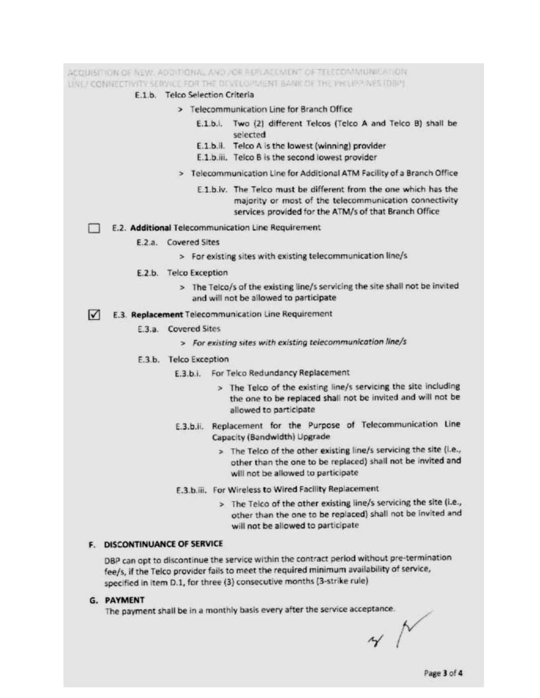ACQUISITION OF NEW, ADDITIONAL AND JOR REPLACEMENT OF TELECOMMUNICATION LINE/ CONNECTIVITY SERVICE FOR THE DEVELOPMENT BANK OF THE PHILIPP NES (DBP). E.1.b. Telco Selection Criteria > Telecommunication Line for Branch Office E.1.b.i. Two (2) different Telcos (Telco A and Telco B) shall be selected E.1.b.il. Telco A is the lowest (winning) provider E.1.b.iii. Telco B is the second lowest provider > Telecommunication Line for Additional ATM Facility of a Branch Office E.1.b.iv. The Telco must be different from the one which has the majority or most of the telecommunication connectivity services provided for the ATM/s of that Branch Office E.2. Additional Telecommunication Line Requirement E.2.a. Covered Sites > For existing sites with existing telecommunication line/s E.2.b. Telco Exception > The Telco/s of the existing line/s servicing the site shall not be invited and will not be allowed to participate E.3. Replacement Telecommunication Line Requirement E.3.a. Covered Sites > For existing sites with existing telecommunication line/s E.3.b. Telco Exception E.3.b.i. For Telco Redundancy Replacement

- > The Telco of the existing line/s servicing the site including the one to be replaced shall not be invited and will not be allowed to participate
- E.3.b.ii. Replacement for the Purpose of Telecommunication Line Capacity (Bandwidth) Upgrade
	- > The Telco of the other existing line/s servicing the site (i.e., other than the one to be replaced) shall not be invited and will not be allowed to participate
- E.3.b.iii. For Wireless to Wired Facility Replacement
	- > The Telco of the other existing line/s servicing the site (i.e., other than the one to be replaced) shall not be invited and will not be allowed to participate

### **F. DISCONTINUANCE OF SERVICE**

DBP can opt to discontinue the service within the contract period without pre-termination fee/s, if the Telco provider fails to meet the required minimum availability of service, specified in item D.1, for three (3) consecutive months (3-strike rule)

### **G. PAYMENT**

The payment shall be in a monthly basis every after the service acceptance.